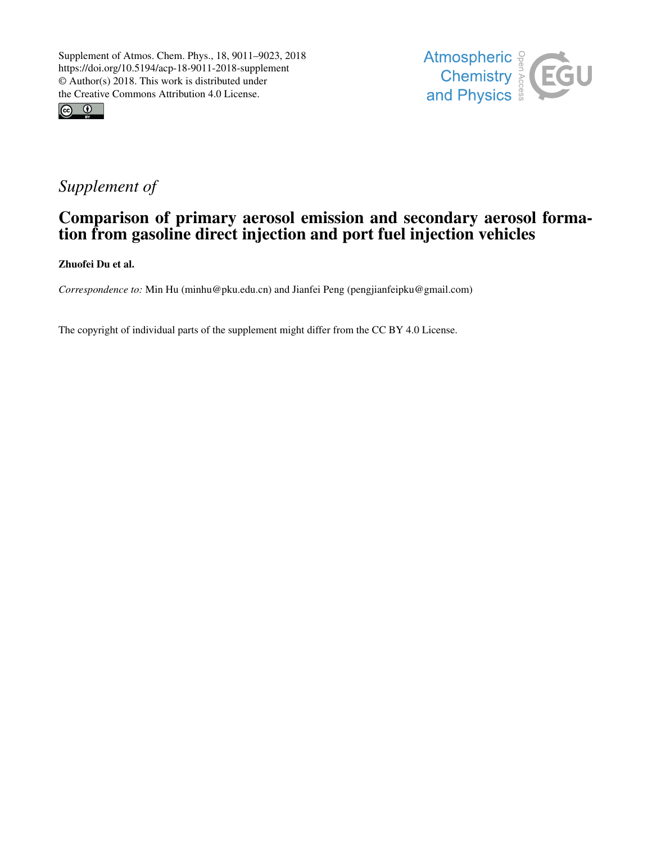



## *Supplement of*

## Comparison of primary aerosol emission and secondary aerosol formation from gasoline direct injection and port fuel injection vehicles

Zhuofei Du et al.

*Correspondence to:* Min Hu (minhu@pku.edu.cn) and Jianfei Peng (pengjianfeipku@gmail.com)

The copyright of individual parts of the supplement might differ from the CC BY 4.0 License.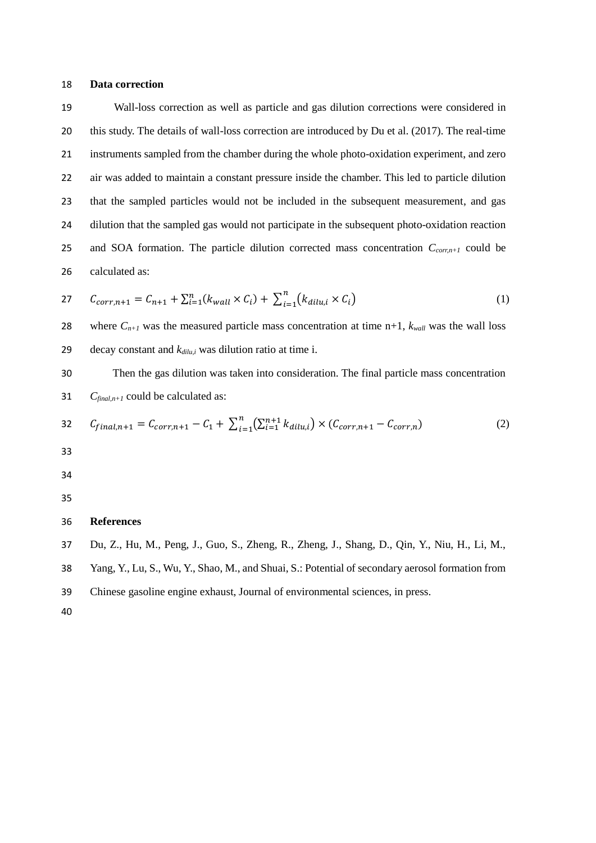## **Data correction**

 Wall-loss correction as well as particle and gas dilution corrections were considered in this study. The details of wall-loss correction are introduced by Du et al. (2017). The real-time instruments sampled from the chamber during the whole photo-oxidation experiment, and zero air was added to maintain a constant pressure inside the chamber. This led to particle dilution that the sampled particles would not be included in the subsequent measurement, and gas dilution that the sampled gas would not participate in the subsequent photo-oxidation reaction and SOA formation. The particle dilution corrected mass concentration *Ccorr,n+1* could be calculated as:

27 
$$
C_{corr,n+1} = C_{n+1} + \sum_{i=1}^{n} (k_{wall} \times C_i) + \sum_{i=1}^{n} (k_{dilu,i} \times C_i)
$$
 (1)

28 where  $C_{n+1}$  was the measured particle mass concentration at time n+1,  $k_{wall}$  was the wall loss decay constant and *kdilu,i* was dilution ratio at time i.

 Then the gas dilution was taken into consideration. The final particle mass concentration *Cfinal,n+1* could be calculated as:

32 
$$
C_{final,n+1} = C_{corr,n+1} - C_1 + \sum_{i=1}^{n} (\sum_{i=1}^{n+1} k_{dilu,i}) \times (C_{corr,n+1} - C_{corr,n})
$$
 (2)

- 
- 

## **References**

Du, Z., Hu, M., Peng, J., Guo, S., Zheng, R., Zheng, J., Shang, D., Qin, Y., Niu, H., Li, M.,

Yang, Y., Lu, S., Wu, Y., Shao, M., and Shuai, S.: Potential of secondary aerosol formation from

Chinese gasoline engine exhaust, Journal of environmental sciences, in press.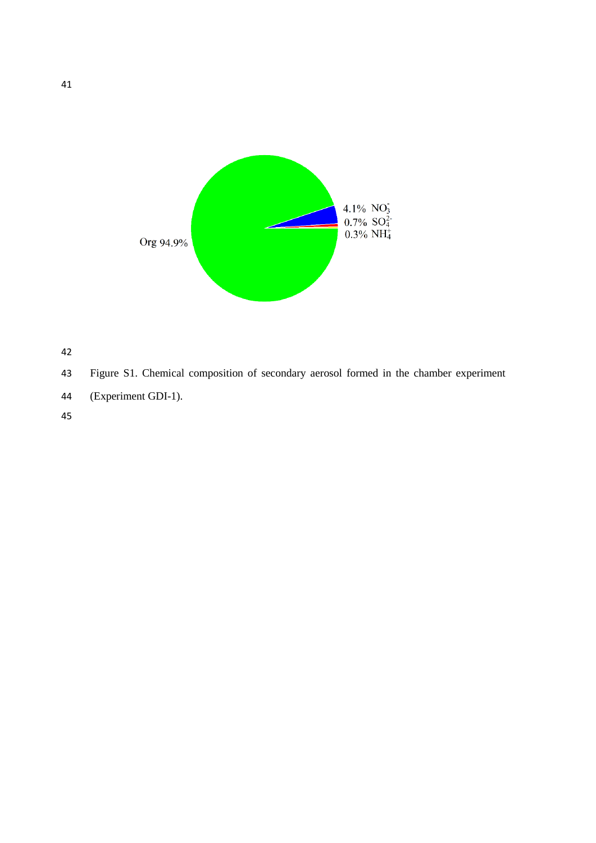



Figure S1. Chemical composition of secondary aerosol formed in the chamber experiment

- (Experiment GDI-1).
-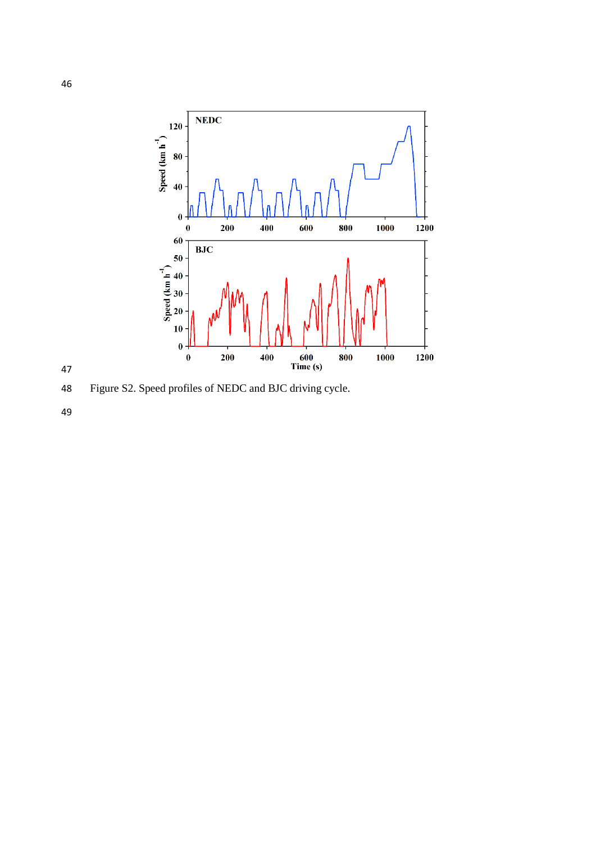

Figure S2. Speed profiles of NEDC and BJC driving cycle.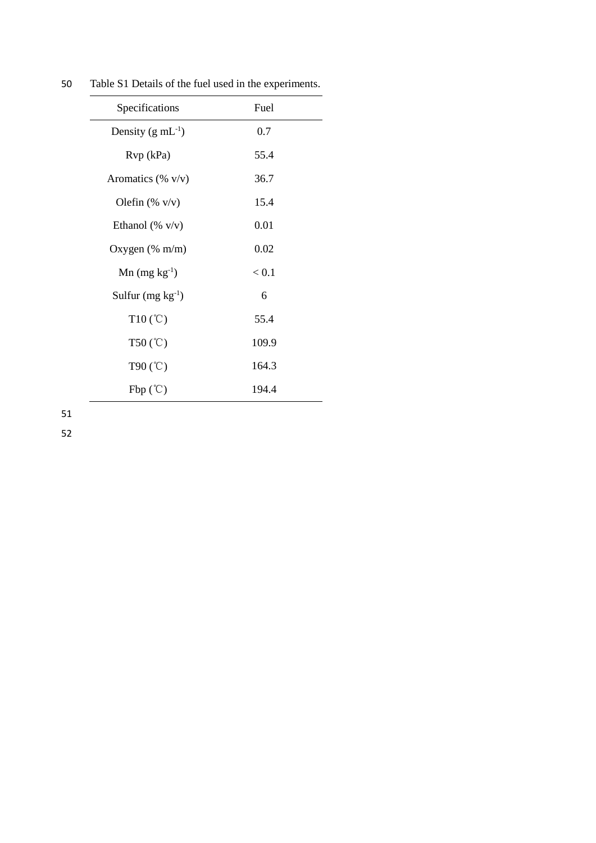| Specifications                | Fuel  |  |
|-------------------------------|-------|--|
| Density $(g \text{ mL}^{-1})$ | 0.7   |  |
| Rvp (kPa)                     | 55.4  |  |
| Aromatics (% $v/v$ )          | 36.7  |  |
| Olefin $(\% \text{ v/v})$     | 15.4  |  |
| Ethanol (% $v/v$ )            | 0.01  |  |
| Oxygen $(\%$ m/m)             | 0.02  |  |
| $Mn$ (mg kg <sup>-1</sup> )   | < 0.1 |  |
| Sulfur $(mg kg^{-1})$         | 6     |  |
| $T10(^{\circ}C)$              | 55.4  |  |
| $T50$ (°C)                    | 109.9 |  |
| T90 $(C)$                     | 164.3 |  |
| $Fbp$ (°C)                    | 194.4 |  |

50 Table S1 Details of the fuel used in the experiments.

51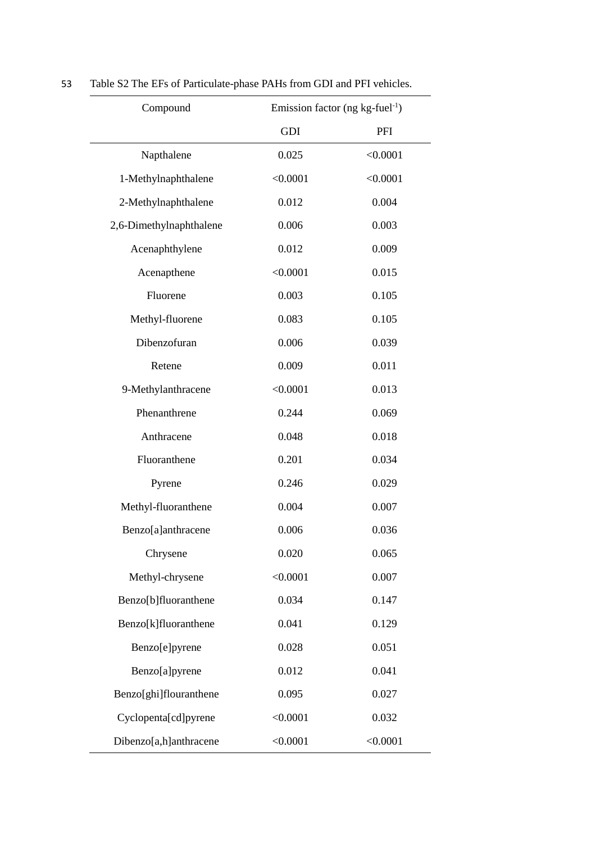| Compound                |          | Emission factor (ng $kg$ -fuel <sup>-1</sup> ) |  |
|-------------------------|----------|------------------------------------------------|--|
|                         | GDI      | PFI                                            |  |
| Napthalene              | 0.025    | < 0.0001                                       |  |
| 1-Methylnaphthalene     | < 0.0001 | < 0.0001                                       |  |
| 2-Methylnaphthalene     | 0.012    | 0.004                                          |  |
| 2,6-Dimethylnaphthalene | 0.006    | 0.003                                          |  |
| Acenaphthylene          | 0.012    | 0.009                                          |  |
| Acenapthene             | < 0.0001 | 0.015                                          |  |
| Fluorene                | 0.003    | 0.105                                          |  |
| Methyl-fluorene         | 0.083    | 0.105                                          |  |
| Dibenzofuran            | 0.006    | 0.039                                          |  |
| Retene                  | 0.009    | 0.011                                          |  |
| 9-Methylanthracene      | < 0.0001 | 0.013                                          |  |
| Phenanthrene            | 0.244    | 0.069                                          |  |
| Anthracene              | 0.048    | 0.018                                          |  |
| Fluoranthene            | 0.201    | 0.034                                          |  |
| Pyrene                  | 0.246    | 0.029                                          |  |
| Methyl-fluoranthene     | 0.004    | 0.007                                          |  |
| Benzo[a]anthracene      | 0.006    | 0.036                                          |  |
| Chrysene                | 0.020    | 0.065                                          |  |
| Methyl-chrysene         | < 0.0001 | 0.007                                          |  |
| Benzo[b]fluoranthene    | 0.034    | 0.147                                          |  |
| Benzo[k]fluoranthene    | 0.041    | 0.129                                          |  |
| Benzo[e]pyrene          | 0.028    | 0.051                                          |  |
| Benzo[a]pyrene          | 0.012    | 0.041                                          |  |
| Benzo[ghi]flouranthene  | 0.095    | 0.027                                          |  |
| Cyclopenta[cd]pyrene    | < 0.0001 | 0.032                                          |  |
| Dibenzo[a,h]anthracene  | < 0.0001 | < 0.0001                                       |  |

53 Table S2 The EFs of Particulate-phase PAHs from GDI and PFI vehicles.